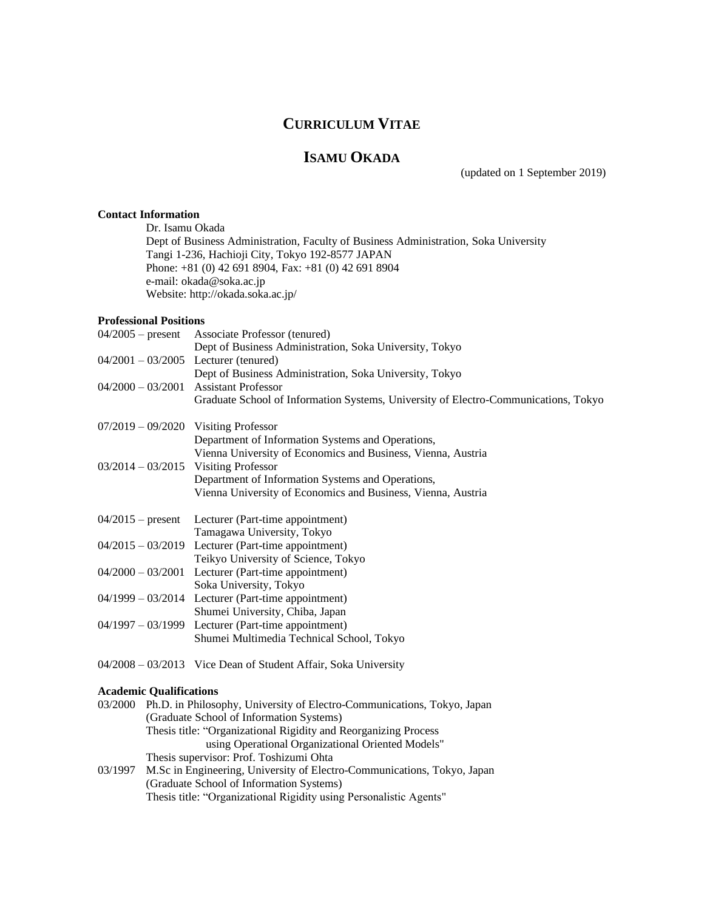# **CURRICULUM VITAE**

# **ISAMU OKADA**

(updated on 1 September 2019)

## **Contact Information**

Dr. Isamu Okada Dept of Business Administration, Faculty of Business Administration, Soka University Tangi 1-236, Hachioji City, Tokyo 192-8577 JAPAN Phone: +81 (0) 42 691 8904, Fax: +81 (0) 42 691 8904 e-mail: okada@soka.ac.jp Website: http://okada.soka.ac.jp/

## **Professional Positions**

| $04/2005$ – present                     | Associate Professor (tenured)                                                       |
|-----------------------------------------|-------------------------------------------------------------------------------------|
|                                         | Dept of Business Administration, Soka University, Tokyo                             |
| $04/2001 - 03/2005$ Lecturer (tenured)  |                                                                                     |
|                                         | Dept of Business Administration, Soka University, Tokyo                             |
| $04/2000 - 03/2001$ Assistant Professor |                                                                                     |
|                                         | Graduate School of Information Systems, University of Electro-Communications, Tokyo |
| $07/2019 - 09/2020$ Visiting Professor  |                                                                                     |
|                                         | Department of Information Systems and Operations,                                   |
|                                         |                                                                                     |
|                                         | Vienna University of Economics and Business, Vienna, Austria                        |
| $03/2014 - 03/2015$ Visiting Professor  |                                                                                     |
|                                         | Department of Information Systems and Operations,                                   |
|                                         | Vienna University of Economics and Business, Vienna, Austria                        |
|                                         | $04/2015$ – present Lecturer (Part-time appointment)                                |
|                                         | Tamagawa University, Tokyo                                                          |
|                                         | $04/2015 - 03/2019$ Lecturer (Part-time appointment)                                |
|                                         | Teikyo University of Science, Tokyo                                                 |
|                                         | $04/2000 - 03/2001$ Lecturer (Part-time appointment)                                |
|                                         | Soka University, Tokyo                                                              |
|                                         | $04/1999 - 03/2014$ Lecturer (Part-time appointment)                                |
|                                         | Shumei University, Chiba, Japan                                                     |
|                                         | $04/1997 - 03/1999$ Lecturer (Part-time appointment)                                |
|                                         | Shumei Multimedia Technical School, Tokyo                                           |
|                                         | $04/2008 - 03/2013$ Vice Dean of Student Affair, Soka University                    |

## **Academic Qualifications**

|         | 03/2000 Ph.D. in Philosophy, University of Electro-Communications, Tokyo, Japan |  |  |
|---------|---------------------------------------------------------------------------------|--|--|
|         | (Graduate School of Information Systems)                                        |  |  |
|         | Thesis title: "Organizational Rigidity and Reorganizing Process                 |  |  |
|         | using Operational Organizational Oriented Models"                               |  |  |
|         | Thesis supervisor: Prof. Toshizumi Ohta                                         |  |  |
| 03/1997 | M.Sc in Engineering, University of Electro-Communications, Tokyo, Japan         |  |  |

(Graduate School of Information Systems) Thesis title: "Organizational Rigidity using Personalistic Agents"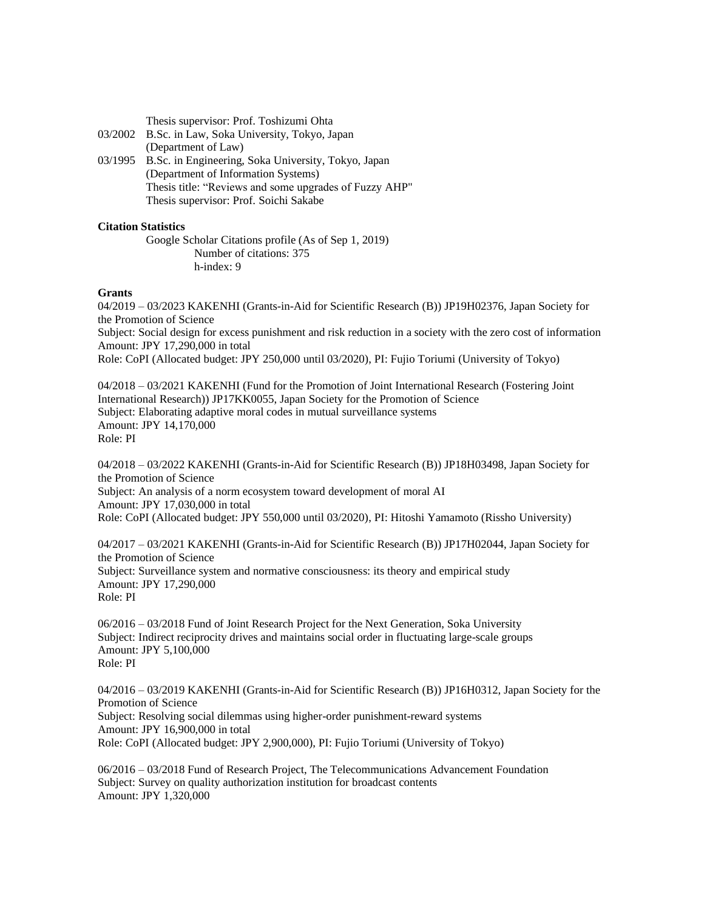Thesis supervisor: Prof. Toshizumi Ohta

- 03/2002 B.Sc. in Law, Soka University, Tokyo, Japan (Department of Law)
- 03/1995 B.Sc. in Engineering, Soka University, Tokyo, Japan (Department of Information Systems) Thesis title: "Reviews and some upgrades of Fuzzy AHP" Thesis supervisor: Prof. Soichi Sakabe

## **Citation Statistics**

Google Scholar Citations profile (As of Sep 1, 2019) Number of citations: 375 h-index: 9

## **Grants**

04/2019 – 03/2023 KAKENHI (Grants-in-Aid for Scientific Research (B)) JP19H02376, Japan Society for the Promotion of Science Subject: Social design for excess punishment and risk reduction in a society with the zero cost of information Amount: JPY 17,290,000 in total Role: CoPI (Allocated budget: JPY 250,000 until 03/2020), PI: Fujio Toriumi (University of Tokyo)

04/2018 – 03/2021 KAKENHI (Fund for the Promotion of Joint International Research (Fostering Joint International Research)) JP17KK0055, Japan Society for the Promotion of Science Subject: Elaborating adaptive moral codes in mutual surveillance systems Amount: JPY 14,170,000 Role: PI

04/2018 – 03/2022 KAKENHI (Grants-in-Aid for Scientific Research (B)) JP18H03498, Japan Society for the Promotion of Science Subject: An analysis of a norm ecosystem toward development of moral AI Amount: JPY 17,030,000 in total Role: CoPI (Allocated budget: JPY 550,000 until 03/2020), PI: Hitoshi Yamamoto (Rissho University)

04/2017 – 03/2021 KAKENHI (Grants-in-Aid for Scientific Research (B)) JP17H02044, Japan Society for the Promotion of Science Subject: Surveillance system and normative consciousness: its theory and empirical study Amount: JPY 17,290,000 Role: PI

06/2016 – 03/2018 Fund of Joint Research Project for the Next Generation, Soka University Subject: Indirect reciprocity drives and maintains social order in fluctuating large-scale groups Amount: JPY 5,100,000 Role: PI

04/2016 – 03/2019 KAKENHI (Grants-in-Aid for Scientific Research (B)) JP16H0312, Japan Society for the Promotion of Science Subject: Resolving social dilemmas using higher-order punishment-reward systems Amount: JPY 16,900,000 in total Role: CoPI (Allocated budget: JPY 2,900,000), PI: Fujio Toriumi (University of Tokyo)

06/2016 – 03/2018 Fund of Research Project, The Telecommunications Advancement Foundation Subject: Survey on quality authorization institution for broadcast contents Amount: JPY 1,320,000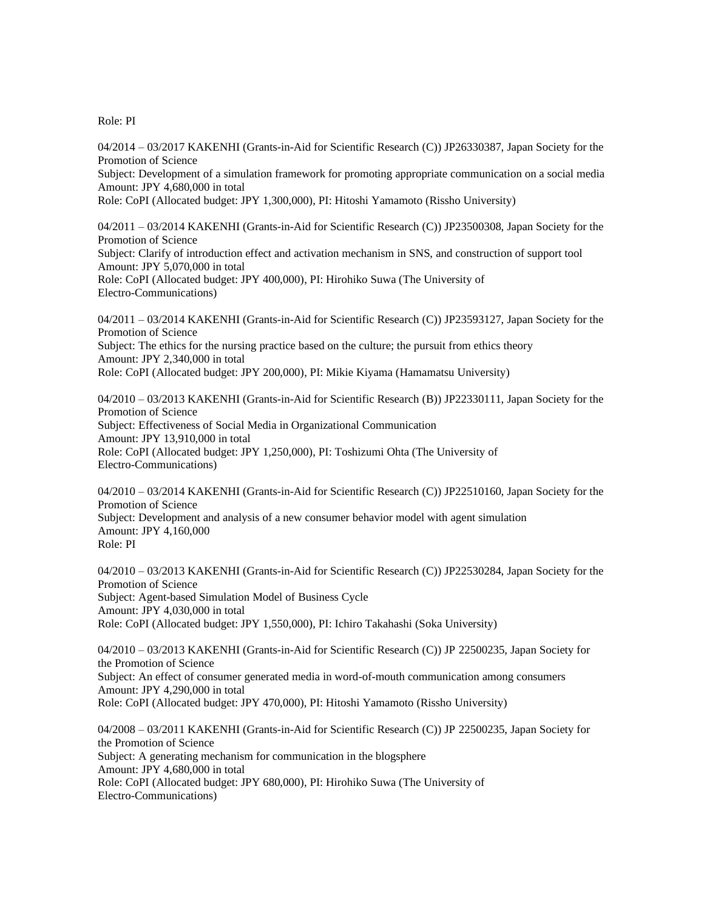Role: PI

04/2014 – 03/2017 KAKENHI (Grants-in-Aid for Scientific Research (C)) JP26330387, Japan Society for the Promotion of Science Subject: Development of a simulation framework for promoting appropriate communication on a social media Amount: JPY 4,680,000 in total Role: CoPI (Allocated budget: JPY 1,300,000), PI: Hitoshi Yamamoto (Rissho University)

04/2011 – 03/2014 KAKENHI (Grants-in-Aid for Scientific Research (C)) JP23500308, Japan Society for the Promotion of Science Subject: Clarify of introduction effect and activation mechanism in SNS, and construction of support tool Amount: JPY 5,070,000 in total Role: CoPI (Allocated budget: JPY 400,000), PI: Hirohiko Suwa (The University of Electro-Communications)

04/2011 – 03/2014 KAKENHI (Grants-in-Aid for Scientific Research (C)) JP23593127, Japan Society for the Promotion of Science Subject: The ethics for the nursing practice based on the culture; the pursuit from ethics theory Amount: JPY 2,340,000 in total Role: CoPI (Allocated budget: JPY 200,000), PI: Mikie Kiyama (Hamamatsu University)

04/2010 – 03/2013 KAKENHI (Grants-in-Aid for Scientific Research (B)) JP22330111, Japan Society for the Promotion of Science Subject: Effectiveness of Social Media in Organizational Communication Amount: JPY 13,910,000 in total Role: CoPI (Allocated budget: JPY 1,250,000), PI: Toshizumi Ohta (The University of Electro-Communications)

04/2010 – 03/2014 KAKENHI (Grants-in-Aid for Scientific Research (C)) JP22510160, Japan Society for the Promotion of Science Subject: Development and analysis of a new consumer behavior model with agent simulation Amount: JPY 4,160,000 Role: PI

04/2010 – 03/2013 KAKENHI (Grants-in-Aid for Scientific Research (C)) JP22530284, Japan Society for the Promotion of Science Subject: Agent-based Simulation Model of Business Cycle Amount: JPY 4,030,000 in total Role: CoPI (Allocated budget: JPY 1,550,000), PI: Ichiro Takahashi (Soka University)

04/2010 – 03/2013 KAKENHI (Grants-in-Aid for Scientific Research (C)) JP 22500235, Japan Society for the Promotion of Science Subject: An effect of consumer generated media in word-of-mouth communication among consumers Amount: JPY 4,290,000 in total Role: CoPI (Allocated budget: JPY 470,000), PI: Hitoshi Yamamoto (Rissho University)

04/2008 – 03/2011 KAKENHI (Grants-in-Aid for Scientific Research (C)) JP 22500235, Japan Society for the Promotion of Science Subject: A generating mechanism for communication in the blogsphere Amount: JPY 4,680,000 in total Role: CoPI (Allocated budget: JPY 680,000), PI: Hirohiko Suwa (The University of Electro-Communications)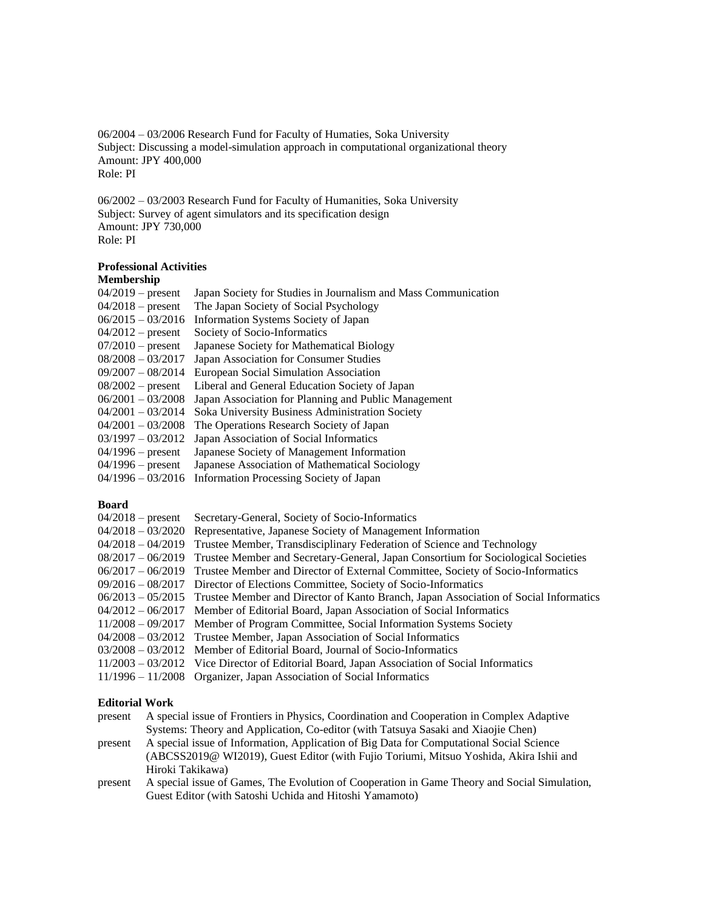06/2004 – 03/2006 Research Fund for Faculty of Humaties, Soka University Subject: Discussing a model-simulation approach in computational organizational theory Amount: JPY 400,000 Role: PI

06/2002 – 03/2003 Research Fund for Faculty of Humanities, Soka University Subject: Survey of agent simulators and its specification design Amount: JPY 730,000 Role: PI

## **Professional Activities**

## **Membership**

| $04/2019$ – present | Japan Society for Studies in Journalism and Mass Communication |
|---------------------|----------------------------------------------------------------|
| $04/2018$ – present | The Japan Society of Social Psychology                         |
| $06/2015 - 03/2016$ | Information Systems Society of Japan                           |
| $04/2012$ – present | Society of Socio-Informatics                                   |
| $07/2010$ – present | Japanese Society for Mathematical Biology                      |
| $08/2008 - 03/2017$ | Japan Association for Consumer Studies                         |
| $09/2007 - 08/2014$ | European Social Simulation Association                         |
| $08/2002$ – present | Liberal and General Education Society of Japan                 |
| $06/2001 - 03/2008$ | Japan Association for Planning and Public Management           |
| $04/2001 - 03/2014$ | Soka University Business Administration Society                |
| $04/2001 - 03/2008$ | The Operations Research Society of Japan                       |
| $03/1997 - 03/2012$ | Japan Association of Social Informatics                        |
| $04/1996$ – present | Japanese Society of Management Information                     |
| $04/1996$ – present | Japanese Association of Mathematical Sociology                 |
| $04/1996 - 03/2016$ | Information Processing Society of Japan                        |
|                     |                                                                |

## **Board**

| $04/2018$ – present | Secretary-General, Society of Socio-Informatics                                                        |
|---------------------|--------------------------------------------------------------------------------------------------------|
|                     | 04/2018 - 03/2020 Representative, Japanese Society of Management Information                           |
| $04/2018 - 04/2019$ | Trustee Member, Transdisciplinary Federation of Science and Technology                                 |
|                     | 08/2017 – 06/2019 Trustee Member and Secretary-General, Japan Consortium for Sociological Societies    |
|                     | 06/2017 – 06/2019 Trustee Member and Director of External Committee, Society of Socio-Informatics      |
|                     | $09/2016 - 08/2017$ Director of Elections Committee, Society of Socio-Informatics                      |
|                     | 06/2013 – 05/2015 Trustee Member and Director of Kanto Branch, Japan Association of Social Informatics |
|                     | $04/2012 - 06/2017$ Member of Editorial Board, Japan Association of Social Informatics                 |
|                     | 11/2008 – 09/2017 Member of Program Committee, Social Information Systems Society                      |
|                     | 04/2008 - 03/2012 Trustee Member, Japan Association of Social Informatics                              |
|                     | $03/2008 - 03/2012$ Member of Editorial Board, Journal of Socio-Informatics                            |
|                     | $11/2003 - 03/2012$ Vice Director of Editorial Board, Japan Association of Social Informatics          |
|                     | 11/1996 - 11/2008 Organizer, Japan Association of Social Informatics                                   |
|                     |                                                                                                        |

## **Editorial Work**

present A special issue of Frontiers in Physics, Coordination and Cooperation in Complex Adaptive Systems: Theory and Application, Co-editor (with Tatsuya Sasaki and Xiaojie Chen) present A special issue of Information, Application of Big Data for Computational Social Science

- (ABCSS2019@ WI2019), Guest Editor (with Fujio Toriumi, Mitsuo Yoshida, Akira Ishii and Hiroki Takikawa)
- present A special issue of Games, The Evolution of Cooperation in Game Theory and Social Simulation, Guest Editor (with Satoshi Uchida and Hitoshi Yamamoto)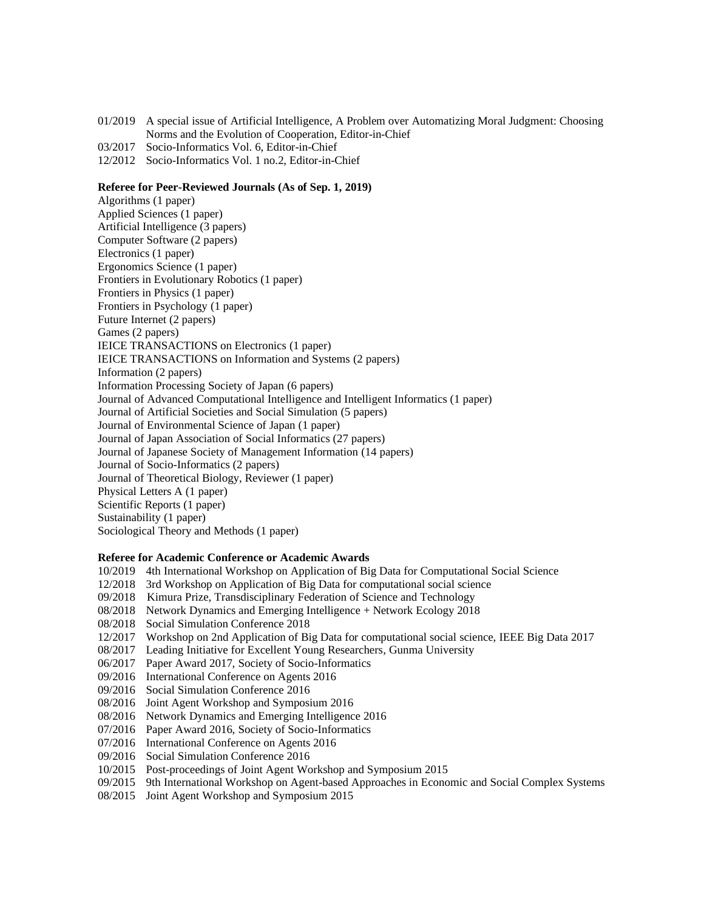- 01/2019 A special issue of Artificial Intelligence, A Problem over Automatizing Moral Judgment: Choosing Norms and the Evolution of Cooperation, Editor-in-Chief
- 03/2017 Socio-Informatics Vol. 6, Editor-in-Chief
- 12/2012 Socio-Informatics Vol. 1 no.2, Editor-in-Chief

## **Referee for Peer-Reviewed Journals (As of Sep. 1, 2019)**

Algorithms (1 paper) Applied Sciences (1 paper) Artificial Intelligence (3 papers) Computer Software (2 papers) Electronics (1 paper) Ergonomics Science (1 paper) Frontiers in Evolutionary Robotics (1 paper) Frontiers in Physics (1 paper) Frontiers in Psychology (1 paper) Future Internet (2 papers) Games (2 papers) IEICE TRANSACTIONS on Electronics (1 paper) IEICE TRANSACTIONS on Information and Systems (2 papers) Information (2 papers) Information Processing Society of Japan (6 papers) Journal of Advanced Computational Intelligence and Intelligent Informatics (1 paper) Journal of Artificial Societies and Social Simulation (5 papers) Journal of Environmental Science of Japan (1 paper) Journal of Japan Association of Social Informatics (27 papers) Journal of Japanese Society of Management Information (14 papers) Journal of Socio-Informatics (2 papers) Journal of Theoretical Biology, Reviewer (1 paper) Physical Letters A (1 paper) Scientific Reports (1 paper) Sustainability (1 paper) Sociological Theory and Methods (1 paper)

## **Referee for Academic Conference or Academic Awards**

- 10/2019 4th International Workshop on Application of Big Data for Computational Social Science
- 12/2018 3rd Workshop on Application of Big Data for computational social science
- 09/2018 Kimura Prize, Transdisciplinary Federation of Science and Technology
- 08/2018 Network Dynamics and Emerging Intelligence + Network Ecology 2018
- 08/2018 Social Simulation Conference 2018
- 12/2017 Workshop on 2nd Application of Big Data for computational social science, IEEE Big Data 2017
- 08/2017 Leading Initiative for Excellent Young Researchers, Gunma University
- 06/2017 Paper Award 2017, Society of Socio-Informatics
- 09/2016 International Conference on Agents 2016
- 09/2016 Social Simulation Conference 2016
- 08/2016 Joint Agent Workshop and Symposium 2016
- 08/2016 Network Dynamics and Emerging Intelligence 2016
- 07/2016 Paper Award 2016, Society of Socio-Informatics
- 07/2016 International Conference on Agents 2016
- 09/2016 Social Simulation Conference 2016
- 10/2015 Post-proceedings of Joint Agent Workshop and Symposium 2015
- 09/2015 9th International Workshop on Agent-based Approaches in Economic and Social Complex Systems
- 08/2015 Joint Agent Workshop and Symposium 2015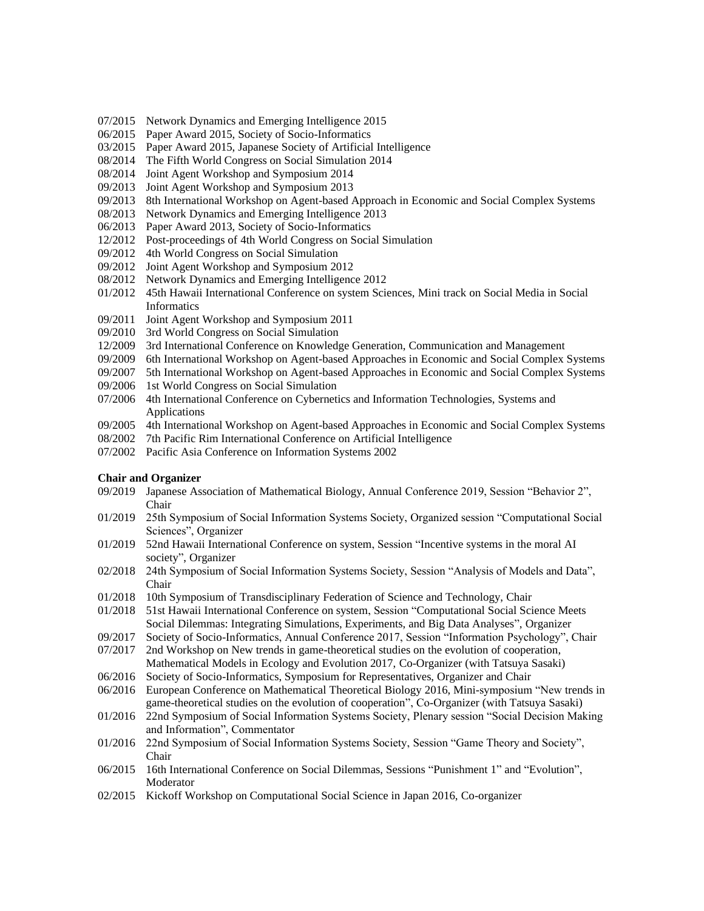- 07/2015 Network Dynamics and Emerging Intelligence 2015
- 06/2015 Paper Award 2015, Society of Socio-Informatics
- 03/2015 Paper Award 2015, Japanese Society of Artificial Intelligence
- 08/2014 The Fifth World Congress on Social Simulation 2014
- 08/2014 Joint Agent Workshop and Symposium 2014
- 09/2013 Joint Agent Workshop and Symposium 2013
- 09/2013 8th International Workshop on Agent-based Approach in Economic and Social Complex Systems
- 08/2013 Network Dynamics and Emerging Intelligence 2013
- 06/2013 Paper Award 2013, Society of Socio-Informatics
- 12/2012 Post-proceedings of 4th World Congress on Social Simulation
- 09/2012 4th World Congress on Social Simulation
- 09/2012 Joint Agent Workshop and Symposium 2012
- 08/2012 Network Dynamics and Emerging Intelligence 2012
- 01/2012 45th Hawaii International Conference on system Sciences, Mini track on Social Media in Social Informatics
- 09/2011 Joint Agent Workshop and Symposium 2011
- 09/2010 3rd World Congress on Social Simulation
- 12/2009 3rd International Conference on Knowledge Generation, Communication and Management
- 09/2009 6th International Workshop on Agent-based Approaches in Economic and Social Complex Systems
- 09/2007 5th International Workshop on Agent-based Approaches in Economic and Social Complex Systems
- 09/2006 1st World Congress on Social Simulation
- 07/2006 4th International Conference on Cybernetics and Information Technologies, Systems and Applications
- 09/2005 4th International Workshop on Agent-based Approaches in Economic and Social Complex Systems
- 08/2002 7th Pacific Rim International Conference on Artificial Intelligence
- 07/2002 Pacific Asia Conference on Information Systems 2002

#### **Chair and Organizer**

- 09/2019 Japanese Association of Mathematical Biology, Annual Conference 2019, Session "Behavior 2", Chair
- 01/2019 25th Symposium of Social Information Systems Society, Organized session "Computational Social Sciences", Organizer
- 01/2019 52nd Hawaii International Conference on system, Session "Incentive systems in the moral AI society", Organizer
- 02/2018 24th Symposium of Social Information Systems Society, Session "Analysis of Models and Data", Chair
- 01/2018 10th Symposium of Transdisciplinary Federation of Science and Technology, Chair
- 01/2018 51st Hawaii International Conference on system, Session "Computational Social Science Meets Social Dilemmas: Integrating Simulations, Experiments, and Big Data Analyses", Organizer
- 09/2017 Society of Socio-Informatics, Annual Conference 2017, Session "Information Psychology", Chair
- 07/2017 2nd Workshop on New trends in game-theoretical studies on the evolution of cooperation, Mathematical Models in Ecology and Evolution 2017, Co-Organizer (with Tatsuya Sasaki)
- 06/2016 Society of Socio-Informatics, Symposium for Representatives, Organizer and Chair
- 06/2016 European Conference on Mathematical Theoretical Biology 2016, Mini-symposium "New trends in game-theoretical studies on the evolution of cooperation", Co-Organizer (with Tatsuya Sasaki)
- 01/2016 22nd Symposium of Social Information Systems Society, Plenary session "Social Decision Making and Information", Commentator
- 01/2016 22nd Symposium of Social Information Systems Society, Session "Game Theory and Society", Chair
- 06/2015 16th International Conference on Social Dilemmas, Sessions "Punishment 1" and "Evolution", Moderator
- 02/2015 Kickoff Workshop on Computational Social Science in Japan 2016, Co-organizer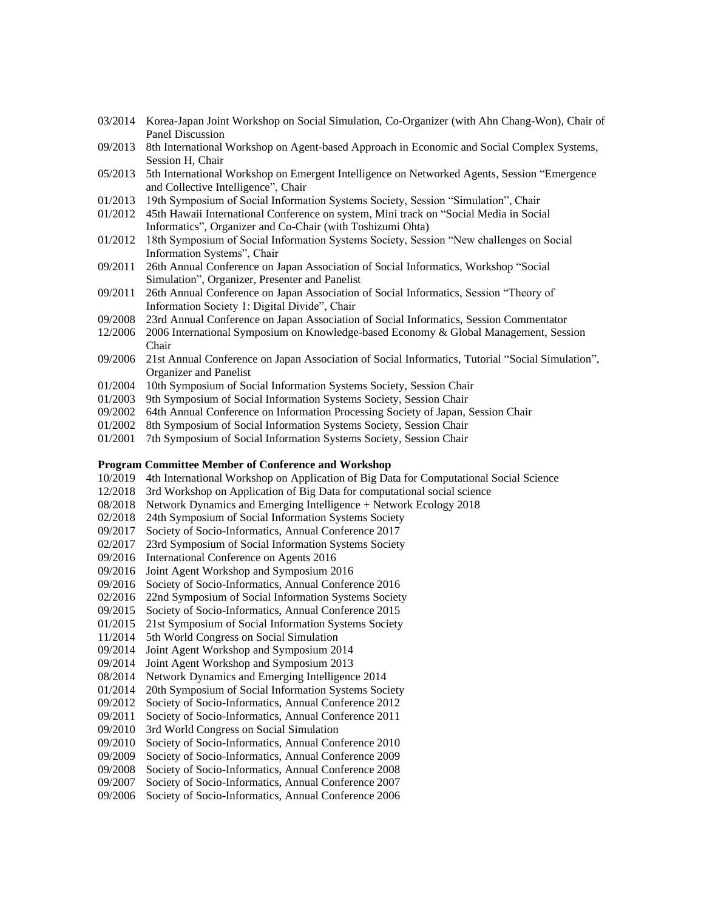- 03/2014 Korea-Japan Joint Workshop on Social Simulation, Co-Organizer (with Ahn Chang-Won), Chair of Panel Discussion
- 09/2013 8th International Workshop on Agent-based Approach in Economic and Social Complex Systems, Session H, Chair
- 05/2013 5th International Workshop on Emergent Intelligence on Networked Agents, Session "Emergence and Collective Intelligence", Chair
- 01/2013 19th Symposium of Social Information Systems Society, Session "Simulation", Chair
- 01/2012 45th Hawaii International Conference on system, Mini track on "Social Media in Social Informatics", Organizer and Co-Chair (with Toshizumi Ohta)
- 01/2012 18th Symposium of Social Information Systems Society, Session "New challenges on Social Information Systems", Chair
- 09/2011 26th Annual Conference on Japan Association of Social Informatics, Workshop "Social Simulation", Organizer, Presenter and Panelist
- 09/2011 26th Annual Conference on Japan Association of Social Informatics, Session "Theory of Information Society 1: Digital Divide", Chair
- 09/2008 23rd Annual Conference on Japan Association of Social Informatics, Session Commentator
- 12/2006 2006 International Symposium on Knowledge-based Economy & Global Management, Session Chair
- 09/2006 21st Annual Conference on Japan Association of Social Informatics, Tutorial "Social Simulation", Organizer and Panelist
- 01/2004 10th Symposium of Social Information Systems Society, Session Chair
- 01/2003 9th Symposium of Social Information Systems Society, Session Chair
- 09/2002 64th Annual Conference on Information Processing Society of Japan, Session Chair
- 01/2002 8th Symposium of Social Information Systems Society, Session Chair
- 01/2001 7th Symposium of Social Information Systems Society, Session Chair

## **Program Committee Member of Conference and Workshop**

- 10/2019 4th International Workshop on Application of Big Data for Computational Social Science
- 12/2018 3rd Workshop on Application of Big Data for computational social science
- 08/2018 Network Dynamics and Emerging Intelligence + Network Ecology 2018
- 02/2018 24th Symposium of Social Information Systems Society
- 09/2017 Society of Socio-Informatics, Annual Conference 2017
- 02/2017 23rd Symposium of Social Information Systems Society
- 09/2016 International Conference on Agents 2016
- 09/2016 Joint Agent Workshop and Symposium 2016
- 09/2016 Society of Socio-Informatics, Annual Conference 2016
- 02/2016 22nd Symposium of Social Information Systems Society
- 09/2015 Society of Socio-Informatics, Annual Conference 2015
- 01/2015 21st Symposium of Social Information Systems Society
- 11/2014 5th World Congress on Social Simulation
- 09/2014 Joint Agent Workshop and Symposium 2014
- 09/2014 Joint Agent Workshop and Symposium 2013
- 08/2014 Network Dynamics and Emerging Intelligence 2014
- 01/2014 20th Symposium of Social Information Systems Society
- 09/2012 Society of Socio-Informatics, Annual Conference 2012
- 09/2011 Society of Socio-Informatics, Annual Conference 2011
- 09/2010 3rd World Congress on Social Simulation
- 09/2010 Society of Socio-Informatics, Annual Conference 2010
- 09/2009 Society of Socio-Informatics, Annual Conference 2009
- 09/2008 Society of Socio-Informatics, Annual Conference 2008
- 09/2007 Society of Socio-Informatics, Annual Conference 2007
- 09/2006 Society of Socio-Informatics, Annual Conference 2006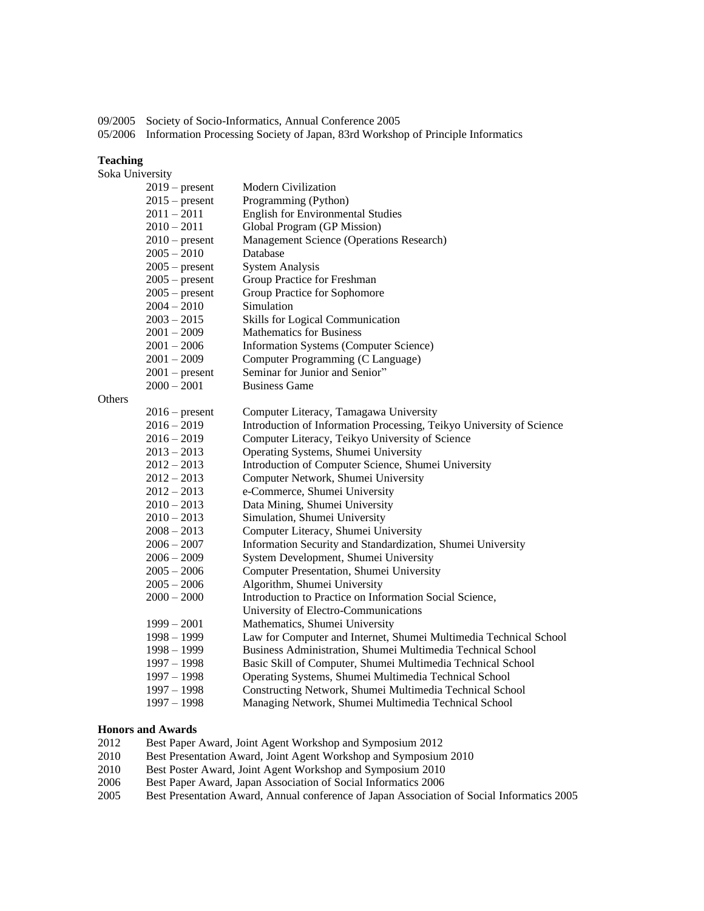09/2005 Society of Socio-Informatics, Annual Conference 2005 05/2006 Information Processing Society of Japan, 83rd Workshop of Principle Informatics

#### **Teaching**

|        | Soka University  |                                                                      |  |  |  |
|--------|------------------|----------------------------------------------------------------------|--|--|--|
|        | $2019$ – present | <b>Modern Civilization</b>                                           |  |  |  |
|        | $2015$ – present | Programming (Python)                                                 |  |  |  |
|        | $2011 - 2011$    | <b>English for Environmental Studies</b>                             |  |  |  |
|        | $2010 - 2011$    | Global Program (GP Mission)                                          |  |  |  |
|        | $2010$ – present | Management Science (Operations Research)                             |  |  |  |
|        | $2005 - 2010$    | Database                                                             |  |  |  |
|        | $2005$ – present | <b>System Analysis</b>                                               |  |  |  |
|        | $2005$ – present | Group Practice for Freshman                                          |  |  |  |
|        | $2005$ – present | Group Practice for Sophomore                                         |  |  |  |
|        | $2004 - 2010$    | Simulation                                                           |  |  |  |
|        | $2003 - 2015$    | <b>Skills for Logical Communication</b>                              |  |  |  |
|        | $2001 - 2009$    | <b>Mathematics for Business</b>                                      |  |  |  |
|        | $2001 - 2006$    | <b>Information Systems (Computer Science)</b>                        |  |  |  |
|        | $2001 - 2009$    | Computer Programming (C Language)                                    |  |  |  |
|        | $2001$ – present | Seminar for Junior and Senior"                                       |  |  |  |
|        | $2000 - 2001$    | <b>Business Game</b>                                                 |  |  |  |
| Others |                  |                                                                      |  |  |  |
|        | $2016$ – present | Computer Literacy, Tamagawa University                               |  |  |  |
|        | $2016 - 2019$    | Introduction of Information Processing, Teikyo University of Science |  |  |  |
|        | $2016 - 2019$    | Computer Literacy, Teikyo University of Science                      |  |  |  |
|        | $2013 - 2013$    | Operating Systems, Shumei University                                 |  |  |  |
|        | $2012 - 2013$    | Introduction of Computer Science, Shumei University                  |  |  |  |
|        | $2012 - 2013$    | Computer Network, Shumei University                                  |  |  |  |
|        | $2012 - 2013$    | e-Commerce, Shumei University                                        |  |  |  |
|        | $2010 - 2013$    | Data Mining, Shumei University                                       |  |  |  |
|        | $2010 - 2013$    | Simulation, Shumei University                                        |  |  |  |
|        | $2008 - 2013$    | Computer Literacy, Shumei University                                 |  |  |  |
|        | $2006 - 2007$    | Information Security and Standardization, Shumei University          |  |  |  |
|        | $2006 - 2009$    | System Development, Shumei University                                |  |  |  |
|        | $2005 - 2006$    | Computer Presentation, Shumei University                             |  |  |  |
|        | $2005 - 2006$    | Algorithm, Shumei University                                         |  |  |  |
|        | $2000 - 2000$    | Introduction to Practice on Information Social Science,              |  |  |  |
|        |                  | University of Electro-Communications                                 |  |  |  |
|        | $1999 - 2001$    | Mathematics, Shumei University                                       |  |  |  |
|        | $1998 - 1999$    | Law for Computer and Internet, Shumei Multimedia Technical School    |  |  |  |
|        | $1998 - 1999$    | Business Administration, Shumei Multimedia Technical School          |  |  |  |
|        | $1997 - 1998$    | Basic Skill of Computer, Shumei Multimedia Technical School          |  |  |  |
|        | $1997 - 1998$    | Operating Systems, Shumei Multimedia Technical School                |  |  |  |
|        | $1997 - 1998$    | Constructing Network, Shumei Multimedia Technical School             |  |  |  |
|        | $1997 - 1998$    | Managing Network, Shumei Multimedia Technical School                 |  |  |  |

## **Honors and Awards**

- 2012 Best Paper Award, Joint Agent Workshop and Symposium 2012
- 2010 Best Presentation Award, Joint Agent Workshop and Symposium 2010
- 2010 Best Poster Award, Joint Agent Workshop and Symposium 2010
- 2006 Best Paper Award, Japan Association of Social Informatics 2006
- 2005 Best Presentation Award, Annual conference of Japan Association of Social Informatics 2005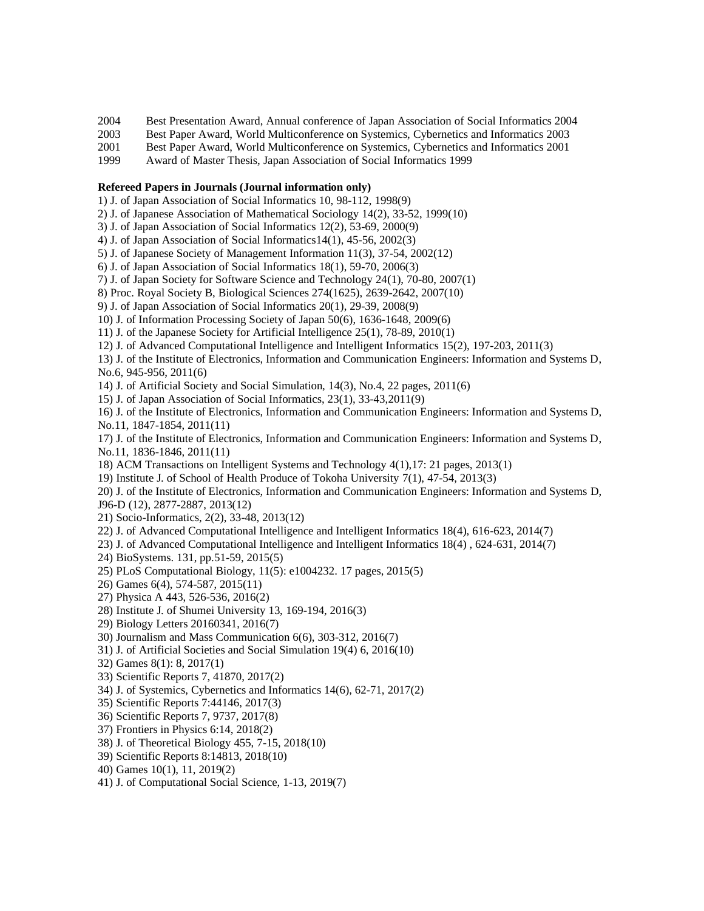- 2004 Best Presentation Award, Annual conference of Japan Association of Social Informatics 2004
- 2003 Best Paper Award, World Multiconference on Systemics, Cybernetics and Informatics 2003
- 2001 Best Paper Award, World Multiconference on Systemics, Cybernetics and Informatics 2001
- 1999 Award of Master Thesis, Japan Association of Social Informatics 1999

## **Refereed Papers in Journals (Journal information only)**

- 1) J. of Japan Association of Social Informatics 10, 98-112, 1998(9)
- 2) J. of Japanese Association of Mathematical Sociology 14(2), 33-52, 1999(10)
- 3) J. of Japan Association of Social Informatics 12(2), 53-69, 2000(9)
- 4) J. of Japan Association of Social Informatics14(1), 45-56, 2002(3)
- 5) J. of Japanese Society of Management Information 11(3), 37-54, 2002(12)
- 6) J. of Japan Association of Social Informatics 18(1), 59-70, 2006(3)
- 7) J. of Japan Society for Software Science and Technology 24(1), 70-80, 2007(1)
- 8) Proc. Royal Society B, Biological Sciences 274(1625), 2639-2642, 2007(10)
- 9) J. of Japan Association of Social Informatics 20(1), 29-39, 2008(9)
- 10) J. of Information Processing Society of Japan 50(6), 1636-1648, 2009(6)
- 11) J. of the Japanese Society for Artificial Intelligence 25(1), 78-89, 2010(1)
- 12) J. of Advanced Computational Intelligence and Intelligent Informatics 15(2), 197-203, 2011(3)
- 13) J. of the Institute of Electronics, Information and Communication Engineers: Information and Systems D, No.6, 945-956, 2011(6)

14) J. of Artificial Society and Social Simulation, 14(3), No.4, 22 pages, 2011(6)

- 15) J. of Japan Association of Social Informatics, 23(1), 33-43,2011(9)
- 16) J. of the Institute of Electronics, Information and Communication Engineers: Information and Systems D, No.11, 1847-1854, 2011(11)
- 17) J. of the Institute of Electronics, Information and Communication Engineers: Information and Systems D, No.11, 1836-1846, 2011(11)
- 18) ACM Transactions on Intelligent Systems and Technology 4(1),17: 21 pages, 2013(1)
- 19) Institute J. of School of Health Produce of Tokoha University 7(1), 47-54, 2013(3)
- 20) J. of the Institute of Electronics, Information and Communication Engineers: Information and Systems D,
- J96-D (12), 2877-2887, 2013(12)
- 21) Socio-Informatics, 2(2), 33-48, 2013(12)
- 22) J. of Advanced Computational Intelligence and Intelligent Informatics 18(4), 616-623, 2014(7)
- 23) J. of Advanced Computational Intelligence and Intelligent Informatics 18(4) , 624-631, 2014(7)
- 24) BioSystems. 131, pp.51-59, 2015(5)
- 25) PLoS Computational Biology, 11(5): e1004232. 17 pages, 2015(5)
- 26) Games 6(4), 574-587, 2015(11)
- 27) Physica A 443, 526-536, 2016(2)
- 28) Institute J. of Shumei University 13, 169-194, 2016(3)
- 29) Biology Letters 20160341, 2016(7)
- 30) Journalism and Mass Communication 6(6), 303-312, 2016(7)
- 31) J. of Artificial Societies and Social Simulation 19(4) 6, 2016(10)
- 32) Games 8(1): 8, 2017(1)
- 33) Scientific Reports 7, 41870, 2017(2)
- 34) J. of Systemics, Cybernetics and Informatics 14(6), 62-71, 2017(2)
- 35) Scientific Reports 7:44146, 2017(3)
- 36) Scientific Reports 7, 9737, 2017(8)
- 37) Frontiers in Physics 6:14, 2018(2)
- 38) J. of Theoretical Biology 455, 7-15, 2018(10)
- 39) Scientific Reports 8:14813, 2018(10)
- 40) Games 10(1), 11, 2019(2)
- 41) J. of Computational Social Science, 1-13, 2019(7)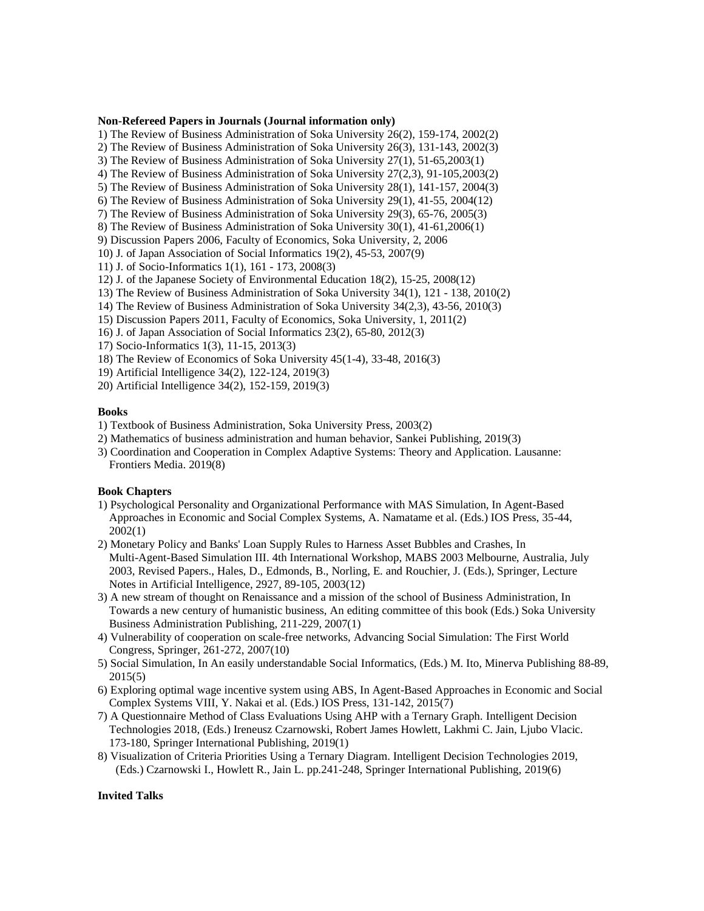#### **Non-Refereed Papers in Journals (Journal information only)**

1) The Review of Business Administration of Soka University 26(2), 159-174, 2002(2)

- 2) The Review of Business Administration of Soka University 26(3), 131-143, 2002(3)
- 3) The Review of Business Administration of Soka University 27(1), 51-65,2003(1)
- 4) The Review of Business Administration of Soka University 27(2,3), 91-105,2003(2)
- 5) The Review of Business Administration of Soka University 28(1), 141-157, 2004(3)
- 6) The Review of Business Administration of Soka University 29(1), 41-55, 2004(12)

7) The Review of Business Administration of Soka University 29(3), 65-76, 2005(3)

- 8) The Review of Business Administration of Soka University 30(1), 41-61,2006(1)
- 9) Discussion Papers 2006, Faculty of Economics, Soka University, 2, 2006
- 10) J. of Japan Association of Social Informatics 19(2), 45-53, 2007(9)
- 11) J. of Socio-Informatics 1(1), 161 173, 2008(3)
- 12) J. of the Japanese Society of Environmental Education 18(2), 15-25, 2008(12)
- 13) The Review of Business Administration of Soka University 34(1), 121 138, 2010(2)
- 14) The Review of Business Administration of Soka University 34(2,3), 43-56, 2010(3)
- 15) Discussion Papers 2011, Faculty of Economics, Soka University, 1, 2011(2)
- 16) J. of Japan Association of Social Informatics 23(2), 65-80, 2012(3)
- 17) Socio-Informatics 1(3), 11-15, 2013(3)
- 18) The Review of Economics of Soka University 45(1-4), 33-48, 2016(3)
- 19) Artificial Intelligence 34(2), 122-124, 2019(3)
- 20) Artificial Intelligence 34(2), 152-159, 2019(3)

#### **Books**

- 1) Textbook of Business Administration, Soka University Press, 2003(2)
- 2) Mathematics of business administration and human behavior, Sankei Publishing, 2019(3)
- 3) Coordination and Cooperation in Complex Adaptive Systems: Theory and Application. Lausanne: Frontiers Media. 2019(8)

## **Book Chapters**

- 1) Psychological Personality and Organizational Performance with MAS Simulation, In Agent-Based Approaches in Economic and Social Complex Systems, A. Namatame et al. (Eds.) IOS Press, 35-44, 2002(1)
- 2) Monetary Policy and Banks' Loan Supply Rules to Harness Asset Bubbles and Crashes, In Multi-Agent-Based Simulation III. 4th International Workshop, MABS 2003 Melbourne, Australia, July 2003, Revised Papers., Hales, D., Edmonds, B., Norling, E. and Rouchier, J. (Eds.), Springer, Lecture Notes in Artificial Intelligence, 2927, 89-105, 2003(12)
- 3) A new stream of thought on Renaissance and a mission of the school of Business Administration, In Towards a new century of humanistic business, An editing committee of this book (Eds.) Soka University Business Administration Publishing, 211-229, 2007(1)
- 4) Vulnerability of cooperation on scale-free networks, Advancing Social Simulation: The First World Congress, Springer, 261-272, 2007(10)
- 5) Social Simulation, In An easily understandable Social Informatics, (Eds.) M. Ito, Minerva Publishing 88-89, 2015(5)
- 6) Exploring optimal wage incentive system using ABS, In Agent-Based Approaches in Economic and Social Complex Systems VIII, Y. Nakai et al. (Eds.) IOS Press, 131-142, 2015(7)
- 7) A Questionnaire Method of Class Evaluations Using AHP with a Ternary Graph. Intelligent Decision Technologies 2018, (Eds.) Ireneusz Czarnowski, Robert James Howlett, Lakhmi C. Jain, Ljubo Vlacic. 173-180, Springer International Publishing, 2019(1)
- 8) Visualization of Criteria Priorities Using a Ternary Diagram. Intelligent Decision Technologies 2019, (Eds.) Czarnowski I., Howlett R., Jain L. pp.241-248, Springer International Publishing, 2019(6)

## **Invited Talks**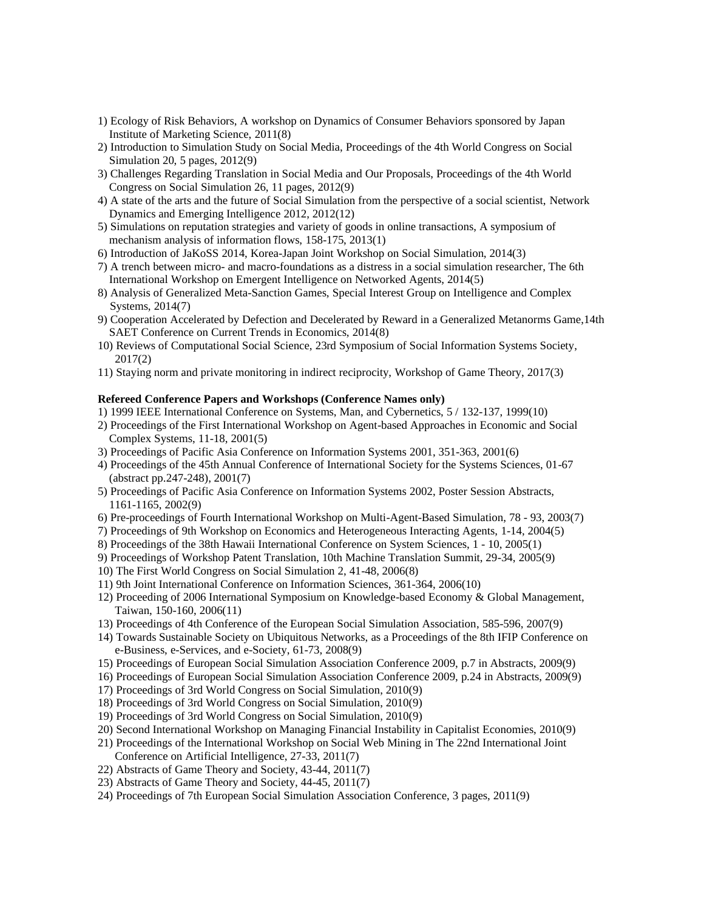- 1) Ecology of Risk Behaviors, A workshop on Dynamics of Consumer Behaviors sponsored by Japan Institute of Marketing Science, 2011(8)
- 2) Introduction to Simulation Study on Social Media, Proceedings of the 4th World Congress on Social Simulation 20, 5 pages, 2012(9)
- 3) Challenges Regarding Translation in Social Media and Our Proposals, Proceedings of the 4th World Congress on Social Simulation 26, 11 pages, 2012(9)
- 4) A state of the arts and the future of Social Simulation from the perspective of a social scientist, Network Dynamics and Emerging Intelligence 2012, 2012(12)
- 5) Simulations on reputation strategies and variety of goods in online transactions, A symposium of mechanism analysis of information flows, 158-175, 2013(1)
- 6) Introduction of JaKoSS 2014, Korea-Japan Joint Workshop on Social Simulation, 2014(3)
- 7) A trench between micro- and macro-foundations as a distress in a social simulation researcher, The 6th International Workshop on Emergent Intelligence on Networked Agents, 2014(5)
- 8) Analysis of Generalized Meta-Sanction Games, Special Interest Group on Intelligence and Complex Systems, 2014(7)
- 9) Cooperation Accelerated by Defection and Decelerated by Reward in a Generalized Metanorms Game,14th SAET Conference on Current Trends in Economics, 2014(8)
- 10) Reviews of Computational Social Science, 23rd Symposium of Social Information Systems Society, 2017(2)
- 11) Staying norm and private monitoring in indirect reciprocity, Workshop of Game Theory, 2017(3)

## **Refereed Conference Papers and Workshops (Conference Names only)**

- 1) 1999 IEEE International Conference on Systems, Man, and Cybernetics, 5 / 132-137, 1999(10)
- 2) Proceedings of the First International Workshop on Agent-based Approaches in Economic and Social Complex Systems, 11-18, 2001(5)
- 3) Proceedings of Pacific Asia Conference on Information Systems 2001, 351-363, 2001(6)
- 4) Proceedings of the 45th Annual Conference of International Society for the Systems Sciences, 01-67 (abstract pp.247-248), 2001(7)
- 5) Proceedings of Pacific Asia Conference on Information Systems 2002, Poster Session Abstracts, 1161-1165, 2002(9)
- 6) Pre-proceedings of Fourth International Workshop on Multi-Agent-Based Simulation, 78 93, 2003(7)
- 7) Proceedings of 9th Workshop on Economics and Heterogeneous Interacting Agents, 1-14, 2004(5)
- 8) Proceedings of the 38th Hawaii International Conference on System Sciences, 1 10, 2005(1)
- 9) Proceedings of Workshop Patent Translation, 10th Machine Translation Summit, 29-34, 2005(9)
- 10) The First World Congress on Social Simulation 2, 41-48, 2006(8)
- 11) 9th Joint International Conference on Information Sciences, 361-364, 2006(10)
- 12) Proceeding of 2006 International Symposium on Knowledge-based Economy & Global Management, Taiwan, 150-160, 2006(11)
- 13) Proceedings of 4th Conference of the European Social Simulation Association, 585-596, 2007(9)
- 14) Towards Sustainable Society on Ubiquitous Networks, as a Proceedings of the 8th IFIP Conference on e-Business, e-Services, and e-Society, 61-73, 2008(9)
- 15) Proceedings of European Social Simulation Association Conference 2009, p.7 in Abstracts, 2009(9)
- 16) Proceedings of European Social Simulation Association Conference 2009, p.24 in Abstracts, 2009(9)
- 17) Proceedings of 3rd World Congress on Social Simulation, 2010(9)
- 18) Proceedings of 3rd World Congress on Social Simulation, 2010(9)
- 19) Proceedings of 3rd World Congress on Social Simulation, 2010(9)
- 20) Second International Workshop on Managing Financial Instability in Capitalist Economies, 2010(9)
- 21) Proceedings of the International Workshop on Social Web Mining in The 22nd International Joint Conference on Artificial Intelligence, 27-33, 2011(7)
- 22) Abstracts of Game Theory and Society, 43-44, 2011(7)
- 23) Abstracts of Game Theory and Society, 44-45, 2011(7)
- 24) Proceedings of 7th European Social Simulation Association Conference, 3 pages, 2011(9)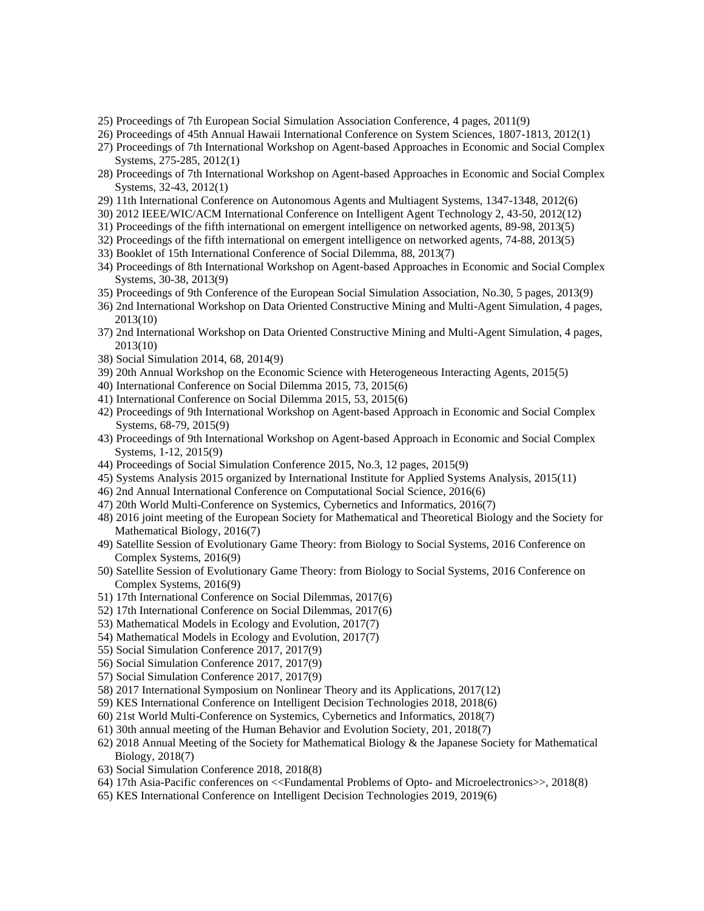- 25) Proceedings of 7th European Social Simulation Association Conference, 4 pages, 2011(9)
- 26) Proceedings of 45th Annual Hawaii International Conference on System Sciences, 1807-1813, 2012(1)
- 27) Proceedings of 7th International Workshop on Agent-based Approaches in Economic and Social Complex Systems, 275-285, 2012(1)
- 28) Proceedings of 7th International Workshop on Agent-based Approaches in Economic and Social Complex Systems, 32-43, 2012(1)
- 29) 11th International Conference on Autonomous Agents and Multiagent Systems, 1347-1348, 2012(6)
- 30) 2012 IEEE/WIC/ACM International Conference on Intelligent Agent Technology 2, 43-50, 2012(12)
- 31) Proceedings of the fifth international on emergent intelligence on networked agents, 89-98, 2013(5)
- 32) Proceedings of the fifth international on emergent intelligence on networked agents, 74-88, 2013(5)
- 33) Booklet of 15th International Conference of Social Dilemma, 88, 2013(7)
- 34) Proceedings of 8th International Workshop on Agent-based Approaches in Economic and Social Complex Systems, 30-38, 2013(9)
- 35) Proceedings of 9th Conference of the European Social Simulation Association, No.30, 5 pages, 2013(9)
- 36) 2nd International Workshop on Data Oriented Constructive Mining and Multi-Agent Simulation, 4 pages, 2013(10)
- 37) 2nd International Workshop on Data Oriented Constructive Mining and Multi-Agent Simulation, 4 pages, 2013(10)
- 38) Social Simulation 2014, 68, 2014(9)
- 39) 20th Annual Workshop on the Economic Science with Heterogeneous Interacting Agents, 2015(5)
- 40) International Conference on Social Dilemma 2015, 73, 2015(6)
- 41) International Conference on Social Dilemma 2015, 53, 2015(6)
- 42) Proceedings of 9th International Workshop on Agent-based Approach in Economic and Social Complex Systems, 68-79, 2015(9)
- 43) Proceedings of 9th International Workshop on Agent-based Approach in Economic and Social Complex Systems, 1-12, 2015(9)
- 44) Proceedings of Social Simulation Conference 2015, No.3, 12 pages, 2015(9)
- 45) Systems Analysis 2015 organized by International Institute for Applied Systems Analysis, 2015(11)
- 46) 2nd Annual International Conference on Computational Social Science, 2016(6)
- 47) 20th World Multi-Conference on Systemics, Cybernetics and Informatics, 2016(7)
- 48) 2016 joint meeting of the European Society for Mathematical and Theoretical Biology and the Society for Mathematical Biology, 2016(7)
- 49) Satellite Session of Evolutionary Game Theory: from Biology to Social Systems, 2016 Conference on Complex Systems, 2016(9)
- 50) Satellite Session of Evolutionary Game Theory: from Biology to Social Systems, 2016 Conference on Complex Systems, 2016(9)
- 51) 17th International Conference on Social Dilemmas, 2017(6)
- 52) 17th International Conference on Social Dilemmas, 2017(6)
- 53) Mathematical Models in Ecology and Evolution, 2017(7)
- 54) Mathematical Models in Ecology and Evolution, 2017(7)
- 55) Social Simulation Conference 2017, 2017(9)
- 56) Social Simulation Conference 2017, 2017(9)
- 57) Social Simulation Conference 2017, 2017(9)
- 58) 2017 International Symposium on Nonlinear Theory and its Applications, 2017(12)
- 59) KES International Conference on Intelligent Decision Technologies 2018, 2018(6)
- 60) 21st World Multi-Conference on Systemics, Cybernetics and Informatics, 2018(7)
- 61) 30th annual meeting of the Human Behavior and Evolution Society, 201, 2018(7)
- 62) 2018 Annual Meeting of the Society for Mathematical Biology & the Japanese Society for Mathematical Biology, 2018(7)
- 63) Social Simulation Conference 2018, 2018(8)
- 64) 17th Asia-Pacific conferences on <<Fundamental Problems of Opto- and Microelectronics>>, 2018(8)
- 65) KES International Conference on Intelligent Decision Technologies 2019, 2019(6)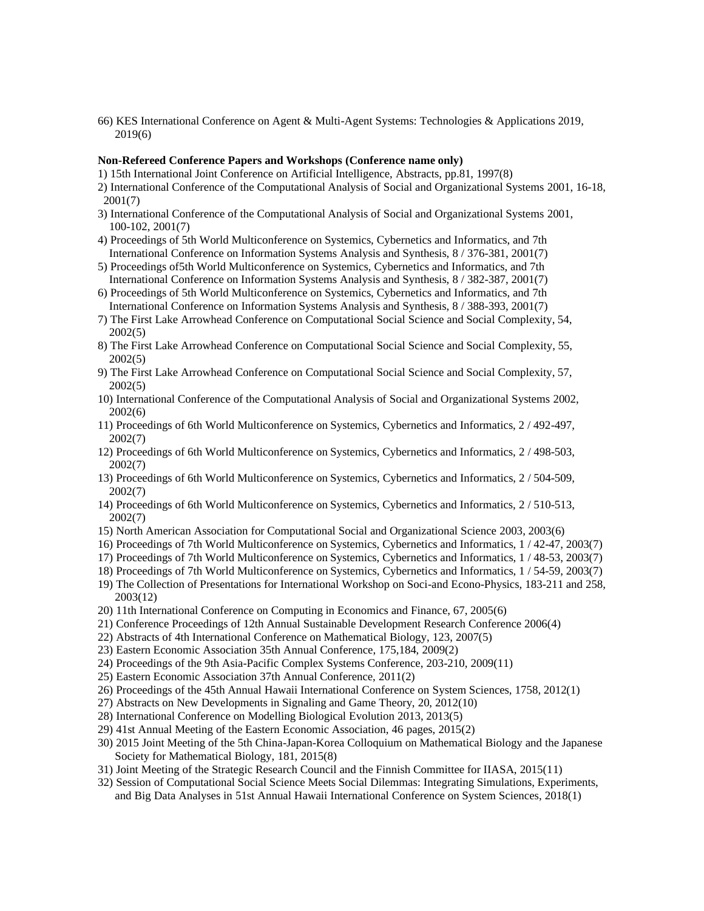66) KES International Conference on Agent & Multi-Agent Systems: Technologies & Applications 2019, 2019(6)

## **Non-Refereed Conference Papers and Workshops (Conference name only)**

- 1) 15th International Joint Conference on Artificial Intelligence, Abstracts, pp.81, 1997(8)
- 2) International Conference of the Computational Analysis of Social and Organizational Systems 2001, 16-18, 2001(7)
- 3) International Conference of the Computational Analysis of Social and Organizational Systems 2001, 100-102, 2001(7)
- 4) Proceedings of 5th World Multiconference on Systemics, Cybernetics and Informatics, and 7th International Conference on Information Systems Analysis and Synthesis, 8 / 376-381, 2001(7)
- 5) Proceedings of5th World Multiconference on Systemics, Cybernetics and Informatics, and 7th International Conference on Information Systems Analysis and Synthesis, 8 / 382-387, 2001(7)
- 6) Proceedings of 5th World Multiconference on Systemics, Cybernetics and Informatics, and 7th International Conference on Information Systems Analysis and Synthesis, 8 / 388-393, 2001(7)
- 7) The First Lake Arrowhead Conference on Computational Social Science and Social Complexity, 54, 2002(5)
- 8) The First Lake Arrowhead Conference on Computational Social Science and Social Complexity, 55, 2002(5)
- 9) The First Lake Arrowhead Conference on Computational Social Science and Social Complexity, 57, 2002(5)
- 10) International Conference of the Computational Analysis of Social and Organizational Systems 2002, 2002(6)
- 11) Proceedings of 6th World Multiconference on Systemics, Cybernetics and Informatics, 2 / 492-497, 2002(7)
- 12) Proceedings of 6th World Multiconference on Systemics, Cybernetics and Informatics, 2 / 498-503, 2002(7)
- 13) Proceedings of 6th World Multiconference on Systemics, Cybernetics and Informatics, 2 / 504-509, 2002(7)
- 14) Proceedings of 6th World Multiconference on Systemics, Cybernetics and Informatics, 2 / 510-513, 2002(7)
- 15) North American Association for Computational Social and Organizational Science 2003, 2003(6)
- 16) Proceedings of 7th World Multiconference on Systemics, Cybernetics and Informatics, 1 / 42-47, 2003(7)
- 17) Proceedings of 7th World Multiconference on Systemics, Cybernetics and Informatics, 1 / 48-53, 2003(7)
- 18) Proceedings of 7th World Multiconference on Systemics, Cybernetics and Informatics, 1 / 54-59, 2003(7)
- 19) The Collection of Presentations for International Workshop on Soci-and Econo-Physics, 183-211 and 258, 2003(12)
- 20) 11th International Conference on Computing in Economics and Finance, 67, 2005(6)
- 21) Conference Proceedings of 12th Annual Sustainable Development Research Conference 2006(4)
- 22) Abstracts of 4th International Conference on Mathematical Biology, 123, 2007(5)
- 23) Eastern Economic Association 35th Annual Conference, 175,184, 2009(2)
- 24) Proceedings of the 9th Asia-Pacific Complex Systems Conference, 203-210, 2009(11)
- 25) Eastern Economic Association 37th Annual Conference, 2011(2)
- 26) Proceedings of the 45th Annual Hawaii International Conference on System Sciences, 1758, 2012(1)
- 27) Abstracts on New Developments in Signaling and Game Theory, 20, 2012(10)
- 28) International Conference on Modelling Biological Evolution 2013, 2013(5)
- 29) 41st Annual Meeting of the Eastern Economic Association, 46 pages, 2015(2)
- 30) 2015 Joint Meeting of the 5th China-Japan-Korea Colloquium on Mathematical Biology and the Japanese Society for Mathematical Biology, 181, 2015(8)
- 31) Joint Meeting of the Strategic Research Council and the Finnish Committee for IIASA, 2015(11)
- 32) Session of Computational Social Science Meets Social Dilemmas: Integrating Simulations, Experiments, and Big Data Analyses in 51st Annual Hawaii International Conference on System Sciences, 2018(1)